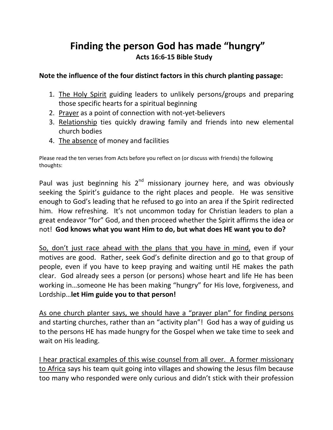## **Finding the person God has made "hungry" Acts 16:6-15 Bible Study**

## **Note the influence of the four distinct factors in this church planting passage:**

- 1. The Holy Spirit guiding leaders to unlikely persons/groups and preparing those specific hearts for a spiritual beginning
- 2. Prayer as a point of connection with not-yet-believers
- 3. Relationship ties quickly drawing family and friends into new elemental church bodies
- 4. The absence of money and facilities

Please read the ten verses from Acts before you reflect on (or discuss with friends) the following thoughts:

Paul was just beginning his  $2^{nd}$  missionary journey here, and was obviously seeking the Spirit's guidance to the right places and people. He was sensitive enough to God's leading that he refused to go into an area if the Spirit redirected him. How refreshing. It's not uncommon today for Christian leaders to plan a great endeavor "for" God, and then proceed whether the Spirit affirms the idea or not! **God knows what you want Him to do, but what does HE want you to do?**

So, don't just race ahead with the plans that you have in mind, even if your motives are good. Rather, seek God's definite direction and go to that group of people, even if you have to keep praying and waiting until HE makes the path clear. God already sees a person (or persons) whose heart and life He has been working in…someone He has been making "hungry" for His love, forgiveness, and Lordship…**let Him guide you to that person!**

As one church planter says, we should have a "prayer plan" for finding persons and starting churches, rather than an "activity plan"! God has a way of guiding us to the persons HE has made hungry for the Gospel when we take time to seek and wait on His leading.

I hear practical examples of this wise counsel from all over. A former missionary to Africa says his team quit going into villages and showing the Jesus film because too many who responded were only curious and didn't stick with their profession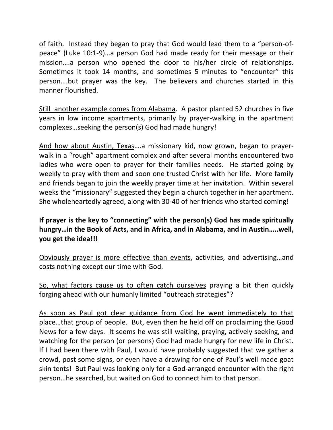of faith. Instead they began to pray that God would lead them to a "person-ofpeace" (Luke 10:1-9)…a person God had made ready for their message or their mission….a person who opened the door to his/her circle of relationships. Sometimes it took 14 months, and sometimes 5 minutes to "encounter" this person….but prayer was the key. The believers and churches started in this manner flourished.

Still another example comes from Alabama. A pastor planted 52 churches in five years in low income apartments, primarily by prayer-walking in the apartment complexes…seeking the person(s) God had made hungry!

And how about Austin, Texas….a missionary kid, now grown, began to prayerwalk in a "rough" apartment complex and after several months encountered two ladies who were open to prayer for their families needs. He started going by weekly to pray with them and soon one trusted Christ with her life. More family and friends began to join the weekly prayer time at her invitation. Within several weeks the "missionary" suggested they begin a church together in her apartment. She wholeheartedly agreed, along with 30-40 of her friends who started coming!

## **If prayer is the key to "connecting" with the person(s) God has made spiritually hungry…in the Book of Acts, and in Africa, and in Alabama, and in Austin…..well, you get the idea!!!**

Obviously prayer is more effective than events, activities, and advertising…and costs nothing except our time with God.

So, what factors cause us to often catch ourselves praying a bit then quickly forging ahead with our humanly limited "outreach strategies"?

As soon as Paul got clear guidance from God he went immediately to that place…that group of people. But, even then he held off on proclaiming the Good News for a few days. It seems he was still waiting, praying, actively seeking, and watching for the person (or persons) God had made hungry for new life in Christ. If I had been there with Paul, I would have probably suggested that we gather a crowd, post some signs, or even have a drawing for one of Paul's well made goat skin tents! But Paul was looking only for a God-arranged encounter with the right person…he searched, but waited on God to connect him to that person.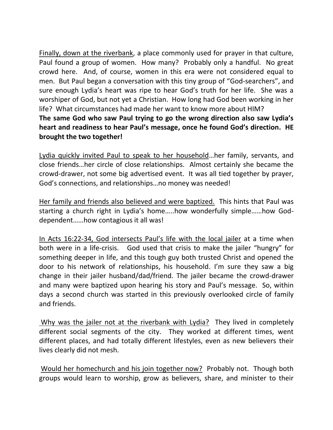Finally, down at the riverbank, a place commonly used for prayer in that culture, Paul found a group of women. How many? Probably only a handful. No great crowd here. And, of course, women in this era were not considered equal to men. But Paul began a conversation with this tiny group of "God-searchers", and sure enough Lydia's heart was ripe to hear God's truth for her life. She was a worshiper of God, but not yet a Christian. How long had God been working in her life? What circumstances had made her want to know more about HIM?

**The same God who saw Paul trying to go the wrong direction also saw Lydia's heart and readiness to hear Paul's message, once he found God's direction. HE brought the two together!**

Lydia quickly invited Paul to speak to her household…her family, servants, and close friends…her circle of close relationships. Almost certainly she became the crowd-drawer, not some big advertised event. It was all tied together by prayer, God's connections, and relationships…no money was needed!

Her family and friends also believed and were baptized. This hints that Paul was starting a church right in Lydia's home…..how wonderfully simple……how Goddependent……how contagious it all was!

In Acts 16:22-34, God intersects Paul's life with the local jailer at a time when both were in a life-crisis. God used that crisis to make the jailer "hungry" for something deeper in life, and this tough guy both trusted Christ and opened the door to his network of relationships, his household. I'm sure they saw a big change in their jailer husband/dad/friend. The jailer became the crowd-drawer and many were baptized upon hearing his story and Paul's message. So, within days a second church was started in this previously overlooked circle of family and friends.

Why was the jailer not at the riverbank with Lydia? They lived in completely different social segments of the city. They worked at different times, went different places, and had totally different lifestyles, even as new believers their lives clearly did not mesh.

Would her homechurch and his join together now? Probably not. Though both groups would learn to worship, grow as believers, share, and minister to their